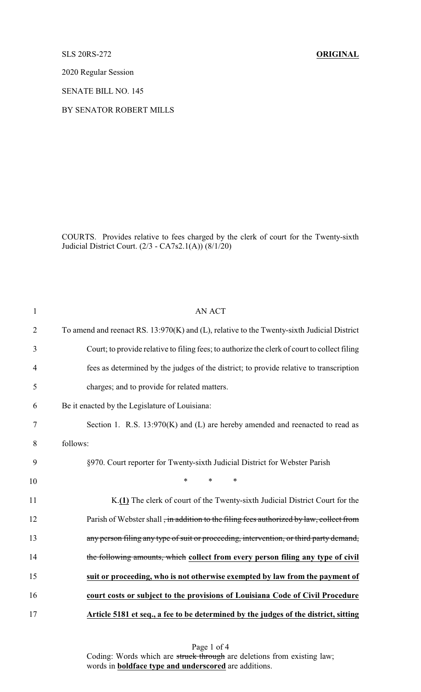SLS 20RS-272 **ORIGINAL**

2020 Regular Session

SENATE BILL NO. 145

## BY SENATOR ROBERT MILLS

COURTS. Provides relative to fees charged by the clerk of court for the Twenty-sixth Judicial District Court. (2/3 - CA7s2.1(A)) (8/1/20)

| $\mathbf{1}$   | <b>AN ACT</b>                                                                                |
|----------------|----------------------------------------------------------------------------------------------|
| $\overline{2}$ | To amend and reenact RS. 13:970(K) and (L), relative to the Twenty-sixth Judicial District   |
| 3              | Court; to provide relative to filing fees; to authorize the clerk of court to collect filing |
| $\overline{4}$ | fees as determined by the judges of the district; to provide relative to transcription       |
| 5              | charges; and to provide for related matters.                                                 |
| 6              | Be it enacted by the Legislature of Louisiana:                                               |
| $\tau$         | Section 1. R.S. 13:970(K) and (L) are hereby amended and reenacted to read as                |
| 8              | follows:                                                                                     |
| 9              | §970. Court reporter for Twenty-sixth Judicial District for Webster Parish                   |
| 10             | $\ast$<br>$\ast$<br>$\ast$                                                                   |
| 11             | K.(1) The clerk of court of the Twenty-sixth Judicial District Court for the                 |
| 12             | Parish of Webster shall, in addition to the filing fees authorized by law, collect from      |
| 13             | any person filing any type of suit or proceeding, intervention, or third party demand,       |
| 14             | the following amounts, which collect from every person filing any type of civil              |
| 15             | suit or proceeding, who is not otherwise exempted by law from the payment of                 |
| 16             | court costs or subject to the provisions of Louisiana Code of Civil Procedure                |
| 17             | Article 5181 et seq., a fee to be determined by the judges of the district, sitting          |

Page 1 of 4 Coding: Words which are struck through are deletions from existing law; words in **boldface type and underscored** are additions.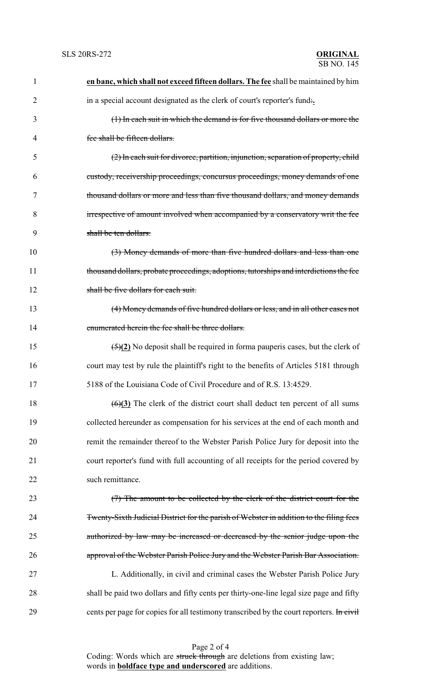| 1              | en banc, which shall not exceed fifteen dollars. The fee shall be maintained by him             |
|----------------|-------------------------------------------------------------------------------------------------|
| $\overline{2}$ | in a special account designated as the clerk of court's reporter's fund.                        |
| 3              | (1) In each suit in which the demand is for five thousand dollars or more the                   |
| 4              | fee shall be fifteen dollars.                                                                   |
| 5              | (2) In each suit for divorce, partition, injunction, separation of property, child              |
| 6              | custody, receivership proceedings, concursus proceedings, money demands of one                  |
| 7              | thousand dollars or more and less than five thousand dollars, and money demands                 |
| 8              | irrespective of amount involved when accompanied by a conservatory writ the fee                 |
| 9              | shall be ten dollars.                                                                           |
| 10             | (3) Money demands of more than five hundred dollars and less than one                           |
| 11             | thousand dollars, probate proceedings, adoptions, tutorships and interdictions the fee          |
| 12             | shall be five dollars for each suit.                                                            |
| 13             | (4) Money demands of five hundred dollars or less, and in all other cases not                   |
| 14             | enumerated herein the fee shall be three dollars.                                               |
| 15             | $\frac{5(2)}{2}$ No deposit shall be required in forma pauperis cases, but the clerk of         |
| 16             | court may test by rule the plaintiff's right to the benefits of Articles 5181 through           |
| 17             | 5188 of the Louisiana Code of Civil Procedure and of R.S. 13:4529.                              |
| 18             | $\left(\frac{6}{2}\right)$ The clerk of the district court shall deduct ten percent of all sums |
| 19             | collected hereunder as compensation for his services at the end of each month and               |
| 20             | remit the remainder thereof to the Webster Parish Police Jury for deposit into the              |
| 21             | court reporter's fund with full accounting of all receipts for the period covered by            |
| 22             | such remittance.                                                                                |
| 23             | (7) The amount to be collected by the clerk of the district court for the                       |
| 24             | Twenty-Sixth Judicial District for the parish of Webster in addition to the filing fees         |
| 25             | authorized by law may be increased or decreased by the senior judge upon the                    |
| 26             | approval of the Webster Parish Police Jury and the Webster Parish Bar Association.              |
| 27             | L. Additionally, in civil and criminal cases the Webster Parish Police Jury                     |
| 28             | shall be paid two dollars and fifty cents per thirty-one-line legal size page and fifty         |
| 29             | cents per page for copies for all testimony transcribed by the court reporters. In civil        |

Page 2 of 4 Coding: Words which are struck through are deletions from existing law; words in **boldface type and underscored** are additions.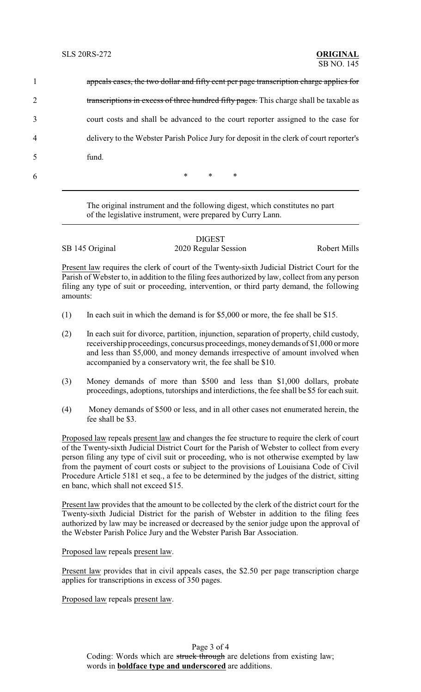|                | appeals cases, the two dollar and fifty cent per page transcription charge applies for  |
|----------------|-----------------------------------------------------------------------------------------|
| $\overline{2}$ | transcriptions in excess of three hundred fifty pages. This charge shall be taxable as  |
| 3              | court costs and shall be advanced to the court reporter assigned to the case for        |
| 4              | delivery to the Webster Parish Police Jury for deposit in the clerk of court reporter's |
| 5              | fund.                                                                                   |
| 6              | $\ast$<br>$\ast$<br>∗                                                                   |

The original instrument and the following digest, which constitutes no part of the legislative instrument, were prepared by Curry Lann.

DIGEST SB 145 Original 2020 Regular Session Robert Mills

Present law requires the clerk of court of the Twenty-sixth Judicial District Court for the Parish of Webster to, in addition to the filing fees authorized by law, collect from any person filing any type of suit or proceeding, intervention, or third party demand, the following amounts:

- (1) In each suit in which the demand is for \$5,000 or more, the fee shall be \$15.
- (2) In each suit for divorce, partition, injunction, separation of property, child custody, receivership proceedings, concursus proceedings, moneydemands of \$1,000 or more and less than \$5,000, and money demands irrespective of amount involved when accompanied by a conservatory writ, the fee shall be \$10.
- (3) Money demands of more than \$500 and less than \$1,000 dollars, probate proceedings, adoptions, tutorships and interdictions, the fee shall be \$5 for each suit.
- (4) Money demands of \$500 or less, and in all other cases not enumerated herein, the fee shall be \$3.

Proposed law repeals present law and changes the fee structure to require the clerk of court of the Twenty-sixth Judicial District Court for the Parish of Webster to collect from every person filing any type of civil suit or proceeding, who is not otherwise exempted by law from the payment of court costs or subject to the provisions of Louisiana Code of Civil Procedure Article 5181 et seq., a fee to be determined by the judges of the district, sitting en banc, which shall not exceed \$15.

Present law provides that the amount to be collected by the clerk of the district court for the Twenty-sixth Judicial District for the parish of Webster in addition to the filing fees authorized by law may be increased or decreased by the senior judge upon the approval of the Webster Parish Police Jury and the Webster Parish Bar Association.

Proposed law repeals present law.

Present law provides that in civil appeals cases, the \$2.50 per page transcription charge applies for transcriptions in excess of 350 pages.

Proposed law repeals present law.